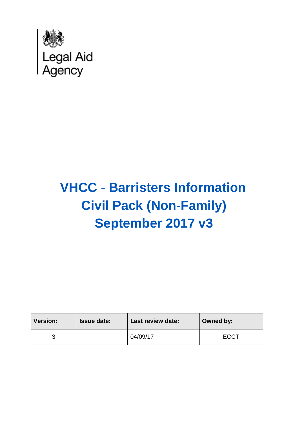

# **VHCC - Barristers Information Civil Pack (Non-Family) September 2017 v3**

| <b>Version:</b> | <b>Issue date:</b> | <b>Last review date:</b> | Owned by:   |
|-----------------|--------------------|--------------------------|-------------|
|                 |                    | 04/09/17                 | <b>ECCT</b> |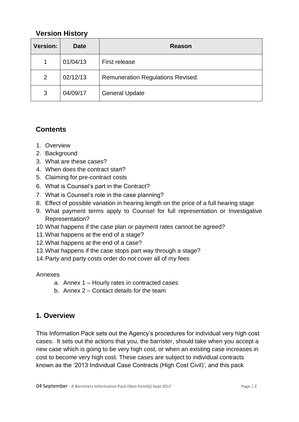# **Version History**

| <b>Version:</b> | <b>Date</b> | <b>Reason</b>                            |
|-----------------|-------------|------------------------------------------|
| 1               | 01/04/13    | <b>First release</b>                     |
| 2               | 02/12/13    | <b>Remuneration Regulations Revised.</b> |
| 3               | 04/09/17    | <b>General Update</b>                    |

# **Contents**

- 1. Overview
- 2. Background
- 3. What are these cases?
- 4. When does the contract start?
- 5. Claiming for pre-contract costs
- 6. What is Counsel's part in the Contract?
- 7. What is Counsel's role in the case planning?
- 8. Effect of possible variation in hearing length on the price of a full hearing stage
- 9. What payment terms apply to Counsel for full representation or Investigative Representation?
- 10.What happens if the case plan or payment rates cannot be agreed?
- 11.What happens at the end of a stage?
- 12.What happens at the end of a case?
- 13.What happens if the case stops part way through a stage?
- 14.Party and party costs order do not cover all of my fees

#### Annexes

- a. Annex 1 Hourly rates in contracted cases
- b. Annex 2 Contact details for the team

#### **1. Overview**

This Information Pack sets out the Agency's procedures for individual very high cost cases. It sets out the actions that you, the barrister, should take when you accept a new case which is going to be very high cost, or when an existing case increases in cost to become very high cost. These cases are subject to individual contracts known as the '2013 Individual Case Contracts (High Cost Civil)', and this pack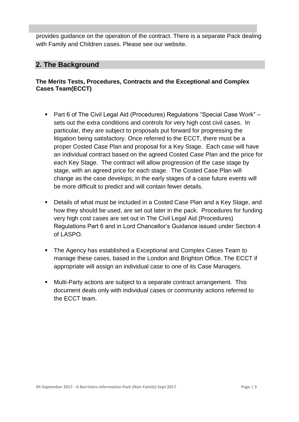provides guidance on the operation of the contract. There is a separate Pack dealing with Family and Children cases. Please see our website.

l

#### **2. The Background**

#### **The Merits Tests, Procedures, Contracts and the Exceptional and Complex Cases Team(ECCT)**

- Part 6 of The Civil Legal Aid (Procedures) Regulations "Special Case Work" sets out the extra conditions and controls for very high cost civil cases. In particular, they are subject to proposals put forward for progressing the litigation being satisfactory. Once referred to the ECCT, there must be a proper Costed Case Plan and proposal for a Key Stage. Each case will have an individual contract based on the agreed Costed Case Plan and the price for each Key Stage. The contract will allow progression of the case stage by stage, with an agreed price for each stage. The Costed Case Plan will change as the case develops; in the early stages of a case future events will be more difficult to predict and will contain fewer details.
- Details of what must be included in a Costed Case Plan and a Key Stage, and how they should be used, are set out later in the pack. Procedures for funding very high cost cases are set out in The Civil Legal Aid (Procedures) Regulations Part 6 and in Lord Chancellor's Guidance issued under Section 4 of LASPO.
- The Agency has established a Exceptional and Complex Cases Team to manage these cases, based in the London and Brighton Office. The ECCT if appropriate will assign an individual case to one of its Case Managers.
- Multi-Party actions are subject to a separate contract arrangement. This document deals only with individual cases or community actions referred to the ECCT team.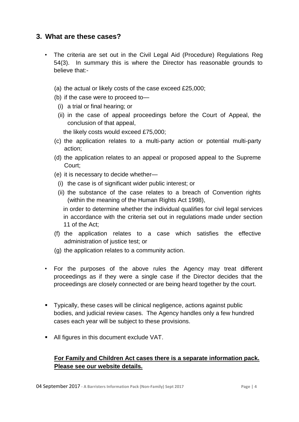#### **3. What are these cases?**

- The criteria are set out in the Civil Legal Aid (Procedure) Regulations Reg 54(3). In summary this is where the Director has reasonable grounds to believe that:-
	- (a) the actual or likely costs of the case exceed £25,000;
	- (b) if the case were to proceed to—
		- (i) a trial or final hearing; or
		- (ii) in the case of appeal proceedings before the Court of Appeal, the conclusion of that appeal,

the likely costs would exceed £75,000;

- (c) the application relates to a multi-party action or potential multi-party action;
- (d) the application relates to an appeal or proposed appeal to the Supreme Court;
- (e) it is necessary to decide whether—
	- (i) the case is of significant wider public interest; or
	- (ii) the substance of the case relates to a breach of Convention rights (within the meaning of the Human Rights Act 1998),
		- in order to determine whether the individual qualifies for civil legal services in accordance with the criteria set out in regulations made under section 11 of the Act;
- (f) the application relates to a case which satisfies the effective administration of justice test; or
- (g) the application relates to a community action.
- For the purposes of the above rules the Agency may treat different proceedings as if they were a single case if the Director decides that the proceedings are closely connected or are being heard together by the court.
- Typically, these cases will be clinical negligence, actions against public bodies, and judicial review cases. The Agency handles only a few hundred cases each year will be subject to these provisions.
- All figures in this document exclude VAT.

#### **For Family and Children Act cases there is a separate information pack. Please see our website details.**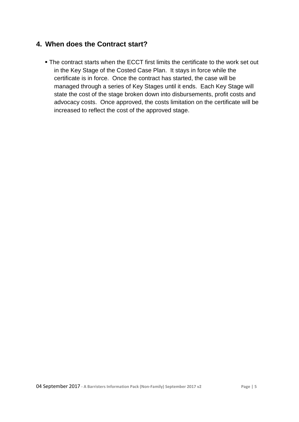# **4. When does the Contract start?**

 The contract starts when the ECCT first limits the certificate to the work set out in the Key Stage of the Costed Case Plan. It stays in force while the certificate is in force. Once the contract has started, the case will be managed through a series of Key Stages until it ends. Each Key Stage will state the cost of the stage broken down into disbursements, profit costs and advocacy costs. Once approved, the costs limitation on the certificate will be increased to reflect the cost of the approved stage.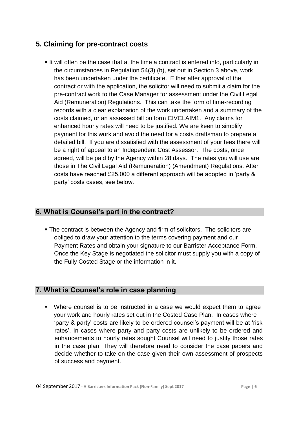# **5. Claiming for pre-contract costs**

It will often be the case that at the time a contract is entered into, particularly in the circumstances in Regulation 54(3) (b), set out in Section 3 above, work has been undertaken under the certificate. Either after approval of the contract or with the application, the solicitor will need to submit a claim for the pre-contract work to the Case Manager for assessment under the Civil Legal Aid (Remuneration) Regulations. This can take the form of time-recording records with a clear explanation of the work undertaken and a summary of the costs claimed, or an assessed bill on form CIVCLAIM1. Any claims for enhanced hourly rates will need to be justified. We are keen to simplify payment for this work and avoid the need for a costs draftsman to prepare a detailed bill. If you are dissatisfied with the assessment of your fees there will be a right of appeal to an Independent Cost Assessor. The costs, once agreed, will be paid by the Agency within 28 days. The rates you will use are those in The Civil Legal Aid (Remuneration) (Amendment) Regulations. After costs have reached £25,000 a different approach will be adopted in 'party & party' costs cases, see below.

#### **6. What is Counsel's part in the contract?**

 The contract is between the Agency and firm of solicitors. The solicitors are obliged to draw your attention to the terms covering payment and our Payment Rates and obtain your signature to our Barrister Acceptance Form. Once the Key Stage is negotiated the solicitor must supply you with a copy of the Fully Costed Stage or the information in it.

#### **7. What is Counsel's role in case planning**

 Where counsel is to be instructed in a case we would expect them to agree your work and hourly rates set out in the Costed Case Plan. In cases where 'party & party' costs are likely to be ordered counsel's payment will be at 'risk rates'. In cases where party and party costs are unlikely to be ordered and enhancements to hourly rates sought Counsel will need to justify those rates in the case plan. They will therefore need to consider the case papers and decide whether to take on the case given their own assessment of prospects of success and payment.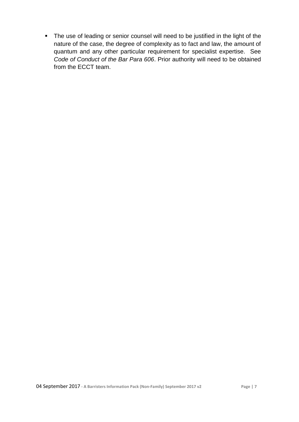• The use of leading or senior counsel will need to be justified in the light of the nature of the case, the degree of complexity as to fact and law, the amount of quantum and any other particular requirement for specialist expertise. See *Code of Conduct of the Bar Para 606*. Prior authority will need to be obtained from the ECCT team.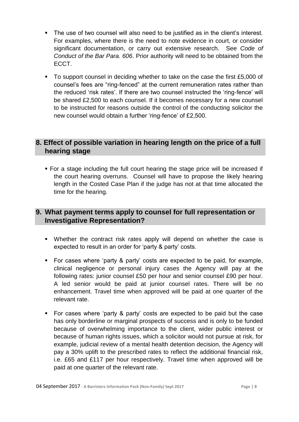- The use of two counsel will also need to be justified as in the client's interest. For examples, where there is the need to note evidence in court, or consider significant documentation, or carry out extensive research. See *Code of Conduct of the Bar Para. 606*. Prior authority will need to be obtained from the ECCT.
- To support counsel in deciding whether to take on the case the first £5,000 of counsel's fees are "ring-fenced" at the current remuneration rates rather than the reduced 'risk rates'. If there are two counsel instructed the 'ring-fence' will be shared £2,500 to each counsel. If it becomes necessary for a new counsel to be instructed for reasons outside the control of the conducting solicitor the new counsel would obtain a further 'ring-fence' of £2,500.

# **8. Effect of possible variation in hearing length on the price of a full hearing stage**

 For a stage including the full court hearing the stage price will be increased if the court hearing overruns. Counsel will have to propose the likely hearing length in the Costed Case Plan if the judge has not at that time allocated the time for the hearing.

# **9. What payment terms apply to counsel for full representation or Investigative Representation?**

- Whether the contract risk rates apply will depend on whether the case is expected to result in an order for 'party & party' costs.
- For cases where 'party & party' costs are expected to be paid, for example, clinical negligence or personal injury cases the Agency will pay at the following rates: junior counsel £50 per hour and senior counsel £90 per hour. A led senior would be paid at junior counsel rates. There will be no enhancement. Travel time when approved will be paid at one quarter of the relevant rate.
- For cases where 'party & party' costs are expected to be paid but the case has only borderline or marginal prospects of success and is only to be funded because of overwhelming importance to the client, wider public interest or because of human rights issues, which a solicitor would not pursue at risk, for example, judicial review of a mental health detention decision, the Agency will pay a 30% uplift to the prescribed rates to reflect the additional financial risk, i.e. £65 and £117 per hour respectively. Travel time when approved will be paid at one quarter of the relevant rate.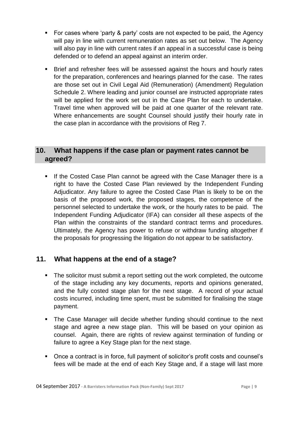- For cases where 'party & party' costs are not expected to be paid, the Agency will pay in line with current remuneration rates as set out below. The Agency will also pay in line with current rates if an appeal in a successful case is being defended or to defend an appeal against an interim order.
- Brief and refresher fees will be assessed against the hours and hourly rates for the preparation, conferences and hearings planned for the case. The rates are those set out in Civil Legal Aid (Remuneration) (Amendment) Regulation Schedule 2. Where leading and junior counsel are instructed appropriate rates will be applied for the work set out in the Case Plan for each to undertake. Travel time when approved will be paid at one quarter of the relevant rate. Where enhancements are sought Counsel should justify their hourly rate in the case plan in accordance with the provisions of Reg 7.

#### **10. What happens if the case plan or payment rates cannot be agreed?**

**If the Costed Case Plan cannot be agreed with the Case Manager there is a** right to have the Costed Case Plan reviewed by the Independent Funding Adjudicator. Any failure to agree the Costed Case Plan is likely to be on the basis of the proposed work, the proposed stages, the competence of the personnel selected to undertake the work, or the hourly rates to be paid. The Independent Funding Adjudicator (IFA) can consider all these aspects of the Plan within the constraints of the standard contract terms and procedures. Ultimately, the Agency has power to refuse or withdraw funding altogether if the proposals for progressing the litigation do not appear to be satisfactory.

# **11. What happens at the end of a stage?**

- The solicitor must submit a report setting out the work completed, the outcome of the stage including any key documents, reports and opinions generated, and the fully costed stage plan for the next stage. A record of your actual costs incurred, including time spent, must be submitted for finalising the stage payment.
- The Case Manager will decide whether funding should continue to the next stage and agree a new stage plan. This will be based on your opinion as counsel. Again, there are rights of review against termination of funding or failure to agree a Key Stage plan for the next stage.
- Once a contract is in force, full payment of solicitor's profit costs and counsel's fees will be made at the end of each Key Stage and, if a stage will last more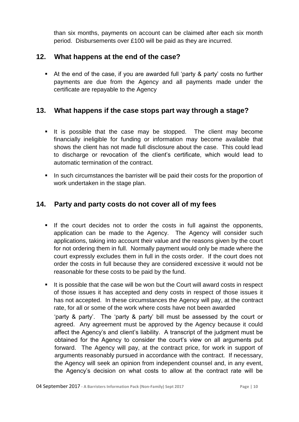than six months, payments on account can be claimed after each six month period. Disbursements over £100 will be paid as they are incurred.

#### **12. What happens at the end of the case?**

 At the end of the case, if you are awarded full 'party & party' costs no further payments are due from the Agency and all payments made under the certificate are repayable to the Agency

#### **13. What happens if the case stops part way through a stage?**

- If is possible that the case may be stopped. The client may become financially ineligible for funding or information may become available that shows the client has not made full disclosure about the case. This could lead to discharge or revocation of the client's certificate, which would lead to automatic termination of the contract.
- In such circumstances the barrister will be paid their costs for the proportion of work undertaken in the stage plan.

#### **14. Party and party costs do not cover all of my fees**

- If the court decides not to order the costs in full against the opponents, application can be made to the Agency. The Agency will consider such applications, taking into account their value and the reasons given by the court for not ordering them in full. Normally payment would only be made where the court expressly excludes them in full in the costs order. If the court does not order the costs in full because they are considered excessive it would not be reasonable for these costs to be paid by the fund.
- It is possible that the case will be won but the Court will award costs in respect of those issues it has accepted and deny costs in respect of those issues it has not accepted. In these circumstances the Agency will pay, at the contract rate, for all or some of the work where costs have not been awarded 'party & party'. The 'party & party' bill must be assessed by the court or agreed. Any agreement must be approved by the Agency because it could affect the Agency's and client's liability. A transcript of the judgment must be obtained for the Agency to consider the court's view on all arguments put forward. The Agency will pay, at the contract price, for work in support of arguments reasonably pursued in accordance with the contract. If necessary, the Agency will seek an opinion from independent counsel and, in any event, the Agency's decision on what costs to allow at the contract rate will be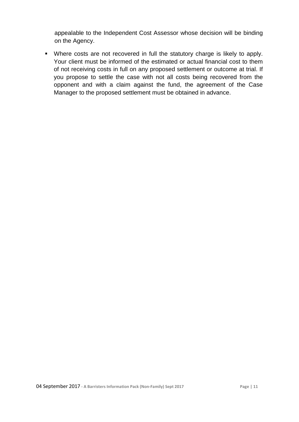appealable to the Independent Cost Assessor whose decision will be binding on the Agency.

 Where costs are not recovered in full the statutory charge is likely to apply. Your client must be informed of the estimated or actual financial cost to them of not receiving costs in full on any proposed settlement or outcome at trial. If you propose to settle the case with not all costs being recovered from the opponent and with a claim against the fund, the agreement of the Case Manager to the proposed settlement must be obtained in advance.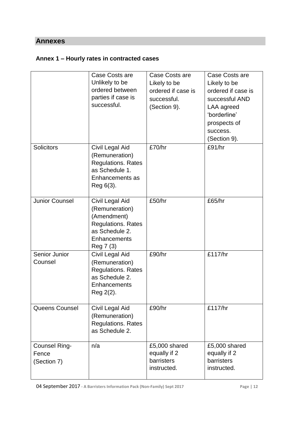#### **Annexes**

# **Annex 1 – Hourly rates in contracted cases**

|                                       | Case Costs are<br>Unlikely to be<br>ordered between<br>parties if case is<br>successful.                              | Case Costs are<br>Likely to be<br>ordered if case is<br>successful.<br>(Section 9). | Case Costs are<br>Likely to be<br>ordered if case is<br>successful AND<br>LAA agreed<br>'borderline'<br>prospects of<br>success.<br>(Section 9). |
|---------------------------------------|-----------------------------------------------------------------------------------------------------------------------|-------------------------------------------------------------------------------------|--------------------------------------------------------------------------------------------------------------------------------------------------|
| Solicitors                            | Civil Legal Aid<br>(Remuneration)<br><b>Regulations. Rates</b><br>as Schedule 1.<br>Enhancements as<br>Reg 6(3).      | £70/hr                                                                              | £91/hr                                                                                                                                           |
| <b>Junior Counsel</b>                 | Civil Legal Aid<br>(Remuneration)<br>(Amendment)<br>Regulations. Rates<br>as Schedule 2.<br>Enhancements<br>Reg 7 (3) | £50/hr                                                                              | £65/hr                                                                                                                                           |
| Senior Junior<br>Counsel              | Civil Legal Aid<br>(Remuneration)<br><b>Regulations. Rates</b><br>as Schedule 2.<br>Enhancements<br>Reg 2(2).         | £90/hr                                                                              | £117/hr                                                                                                                                          |
| <b>Queens Counsel</b>                 | Civil Legal Aid<br>(Remuneration)<br><b>Regulations. Rates</b><br>as Schedule 2.                                      | £90/hr                                                                              | £117/hr                                                                                                                                          |
| Counsel Ring-<br>Fence<br>(Section 7) | n/a                                                                                                                   | £5,000 shared<br>equally if 2<br>barristers<br>instructed.                          | £5,000 shared<br>equally if 2<br>barristers<br>instructed.                                                                                       |

04 September 2017 **- A Barristers Information Pack (Non-Family) Sept 2017 Page | 12**